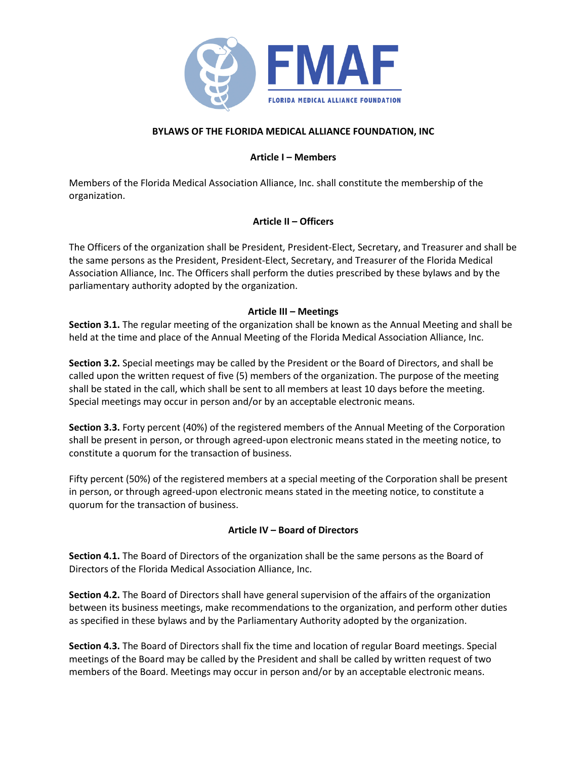

### **BYLAWS OF THE FLORIDA MEDICAL ALLIANCE FOUNDATION, INC**

### **Article I – Members**

Members of the Florida Medical Association Alliance, Inc. shall constitute the membership of the organization.

# **Article II – Officers**

The Officers of the organization shall be President, President-Elect, Secretary, and Treasurer and shall be the same persons as the President, President-Elect, Secretary, and Treasurer of the Florida Medical Association Alliance, Inc. The Officers shall perform the duties prescribed by these bylaws and by the parliamentary authority adopted by the organization.

### **Article III – Meetings**

**Section 3.1.** The regular meeting of the organization shall be known as the Annual Meeting and shall be held at the time and place of the Annual Meeting of the Florida Medical Association Alliance, Inc.

**Section 3.2.** Special meetings may be called by the President or the Board of Directors, and shall be called upon the written request of five (5) members of the organization. The purpose of the meeting shall be stated in the call, which shall be sent to all members at least 10 days before the meeting. Special meetings may occur in person and/or by an acceptable electronic means.

**Section 3.3.** Forty percent (40%) of the registered members of the Annual Meeting of the Corporation shall be present in person, or through agreed-upon electronic means stated in the meeting notice, to constitute a quorum for the transaction of business.

Fifty percent (50%) of the registered members at a special meeting of the Corporation shall be present in person, or through agreed-upon electronic means stated in the meeting notice, to constitute a quorum for the transaction of business.

# **Article IV – Board of Directors**

**Section 4.1.** The Board of Directors of the organization shall be the same persons as the Board of Directors of the Florida Medical Association Alliance, Inc.

**Section 4.2.** The Board of Directors shall have general supervision of the affairs of the organization between its business meetings, make recommendations to the organization, and perform other duties as specified in these bylaws and by the Parliamentary Authority adopted by the organization.

**Section 4.3.** The Board of Directors shall fix the time and location of regular Board meetings. Special meetings of the Board may be called by the President and shall be called by written request of two members of the Board. Meetings may occur in person and/or by an acceptable electronic means.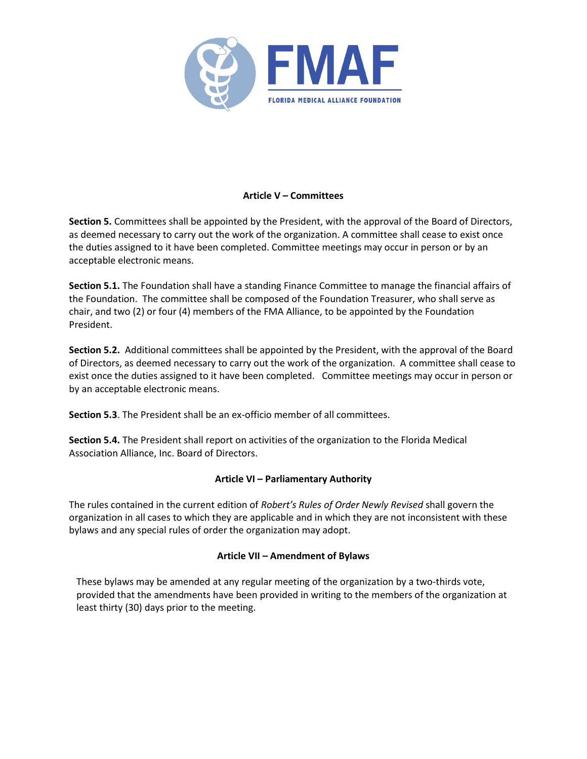

# **Article V – Committees**

**Section 5.** Committees shall be appointed by the President, with the approval of the Board of Directors, as deemed necessary to carry out the work of the organization. A committee shall cease to exist once the duties assigned to it have been completed. Committee meetings may occur in person or by an acceptable electronic means.

**Section 5.1.** The Foundation shall have a standing Finance Committee to manage the financial affairs of the Foundation. The committee shall be composed of the Foundation Treasurer, who shall serve as chair, and two (2) or four (4) members of the FMA Alliance, to be appointed by the Foundation President.

**Section 5.2.** Additional committees shall be appointed by the President, with the approval of the Board of Directors, as deemed necessary to carry out the work of the organization. A committee shall cease to exist once the duties assigned to it have been completed. Committee meetings may occur in person or by an acceptable electronic means.

**Section 5.3**. The President shall be an ex-officio member of all committees.

**Section 5.4.** The President shall report on activities of the organization to the Florida Medical Association Alliance, Inc. Board of Directors.

#### **Article VI – Parliamentary Authority**

The rules contained in the current edition of *Robert's Rules of Order Newly Revised* shall govern the organization in all cases to which they are applicable and in which they are not inconsistent with these bylaws and any special rules of order the organization may adopt.

# **Article VII – Amendment of Bylaws**

These bylaws may be amended at any regular meeting of the organization by a two-thirds vote, provided that the amendments have been provided in writing to the members of the organization at least thirty (30) days prior to the meeting.